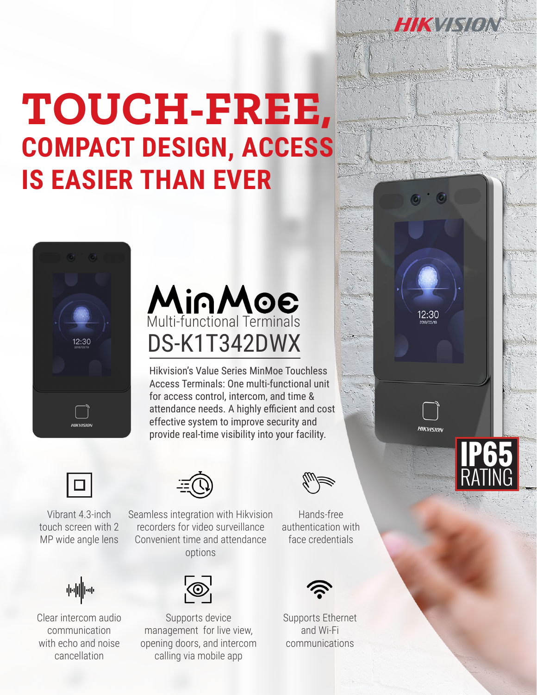## **TOUCH-FREE, COMPACT DESIGN, ACCESS IS EASIER THAN EVER**





Hikvision's Value Series MinMoe Touchless Access Terminals: One multi-functional unit for access control, intercom, and time & attendance needs. A highly efficient and cost effective system to improve security and provide real-time visibility into your facility.



Vibrant 4.3-inch touch screen with 2 MP wide angle lens



Clear intercom audio communication with echo and noise cancellation



Seamless integration with Hikvision recorders for video surveillance Convenient time and attendance options



Supports device management for live view, opening doors, and intercom calling via mobile app

Hands-free authentication with face credentials



Supports Ethernet and Wi-Fi communications